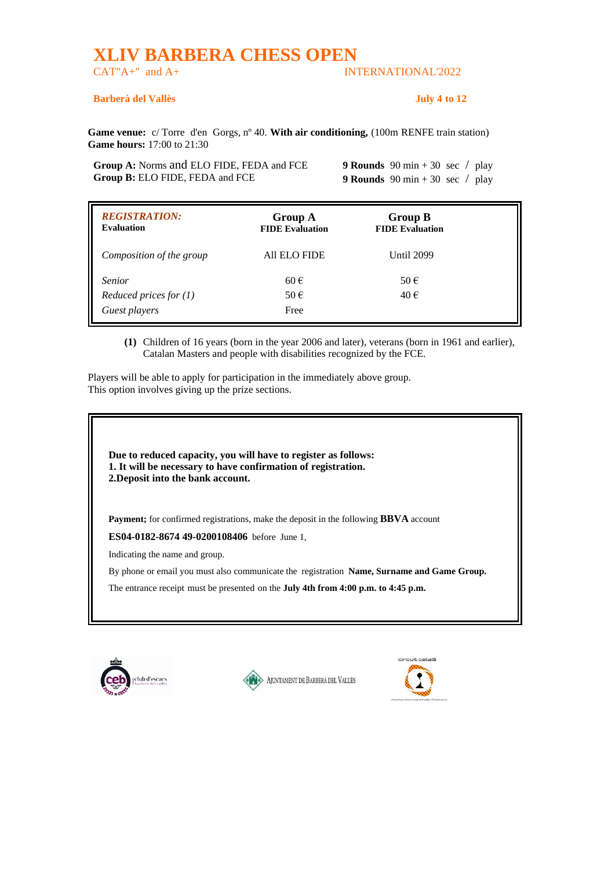## **XLIV BARBERA CHESS OPEN**

## CAT"A+" and A+ INTERNATIONAL'2022

## **Barberà del Vallès July 4 to 12**

**Game venue:** c/ Torre d'en Gorgs, nº 40. **With air conditioning,** (100m RENFE train station) **Game hours:** 17:00 to 21:30

**Group A:** Norms and ELO FIDE, FEDA and FCE **9 Rounds** 90 min + 30 sec / play **Group B:** ELO FIDE, FEDA and FCE 9 **Rounds** 90 min + 30 sec / play

| <b>REGISTRATION:</b><br><b>Evaluation</b> | <b>Group A</b><br><b>FIDE Evaluation</b> | <b>Group B</b><br><b>FIDE Evaluation</b> |  |
|-------------------------------------------|------------------------------------------|------------------------------------------|--|
| Composition of the group                  | All ELO FIDE                             | <b>Until 2099</b>                        |  |
| <b>Senior</b>                             | $60 \in$                                 | $50 \in$                                 |  |
| Reduced prices for $(1)$                  | $50 \in$                                 | 40€                                      |  |
| Guest players                             | Free                                     |                                          |  |

**(1)** Children of 16 years (born in the year 2006 and later), veterans (born in 1961 and earlier), Catalan Masters and people with disabilities recognized by the FCE.

Players will be able to apply for participation in the immediately above group. This option involves giving up the prize sections.